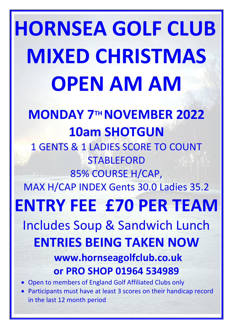**HORNSEA GOLF CLUB MIXED CHRISTMAS OPEN AM AM MONDAY 7TH NOVEMBER 2022 10am SHOTGUN** 1 GENTS & 1 LADIES SCORE TO COUNT STABLEFORD 85% COURSE H/CAP, MAX H/CAP INDEX Gents 30.0 Ladies 35.2 **ENTRY FEE £70 PER TEAM** Includes Soup & Sandwich Lunch **ENTRIES BEING TAKEN NOW www.hornseagolfclub.co.uk or PRO SHOP 01964 534989** • Open to members of England Golf Affiliated Clubs only • Participants must have at least 3 scores on their handicap record in the last 12 month period